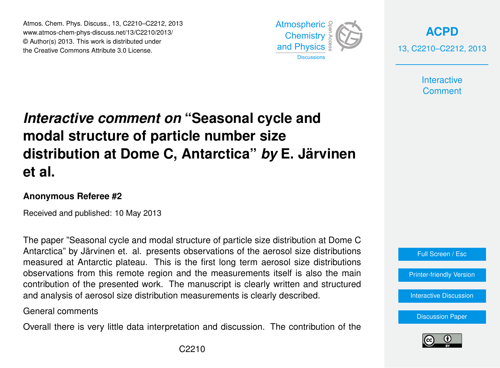Atmos. Chem. Phys. Discuss., 13, C2210–C2212, 2013 Atmospheric www.atmos-chem-phys-discuss.net/13/C2210/2013/<br>@ Author(a) 2012, This work is distributed under © Author(s) 2013. This work is distributed under the Creative Commons Attribute 3.0 License.



**[ACPD](http://www.atmos-chem-phys-discuss.net)** 13, C2210–C2212, 2013

> **Interactive Comment**

## Interactive comment on "Seasonal cycle and ،<br>C  $\overline{\phantom{a}}$ Open Access Climate **distribution at Dome C, Antarctica"** *by* **E. Järvinen modal structure of particle number size et al.**

## **Anonymous Referee #2**

Received and published: 10 May 2013

Antarctica" by Järvinen et. al. presents observations of the aerosol size distributions .. u. proconto<br>ateen Thie is zau. 1111313<br>. observations from this remote region and the measurements itself is also the main O<br>T<br>מר orooor orzo alat measured at Antarctic plateau. This is the first long term aerosol size distributions ri<br>ri<br>h contribution of the presented work. The manuscript is clearly written and structured Geoscientific n<br>C and analysis of aerosol size distribution measurements is clearly described. The paper "Seasonal cycle and modal structure of particle size distribution at Dome C

General comments

Overall there is very little data interpretation and discussion. The contribution of the



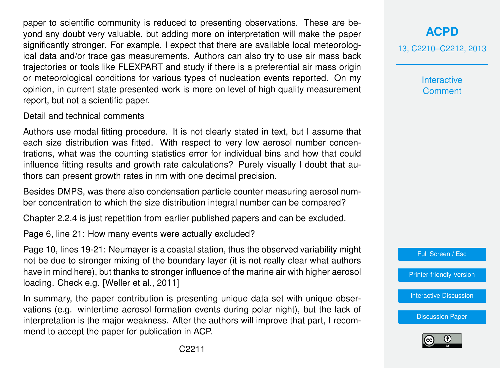paper to scientific community is reduced to presenting observations. These are beyond any doubt very valuable, but adding more on interpretation will make the paper significantly stronger. For example, I expect that there are available local meteorological data and/or trace gas measurements. Authors can also try to use air mass back trajectories or tools like FLEXPART and study if there is a preferential air mass origin or meteorological conditions for various types of nucleation events reported. On my opinion, in current state presented work is more on level of high quality measurement report, but not a scientific paper.

Detail and technical comments

Authors use modal fitting procedure. It is not clearly stated in text, but I assume that each size distribution was fitted. With respect to very low aerosol number concentrations, what was the counting statistics error for individual bins and how that could influence fitting results and growth rate calculations? Purely visually I doubt that authors can present growth rates in nm with one decimal precision.

Besides DMPS, was there also condensation particle counter measuring aerosol number concentration to which the size distribution integral number can be compared?

Chapter 2.2.4 is just repetition from earlier published papers and can be excluded.

Page 6, line 21: How many events were actually excluded?

Page 10, lines 19-21: Neumayer is a coastal station, thus the observed variability might not be due to stronger mixing of the boundary layer (it is not really clear what authors have in mind here), but thanks to stronger influence of the marine air with higher aerosol loading. Check e.g. [Weller et al., 2011]

In summary, the paper contribution is presenting unique data set with unique observations (e.g. wintertime aerosol formation events during polar night), but the lack of interpretation is the major weakness. After the authors will improve that part, I recommend to accept the paper for publication in ACP.

**[ACPD](http://www.atmos-chem-phys-discuss.net)** 13, C2210–C2212, 2013

> **Interactive Comment**



[Printer-friendly Version](http://www.atmos-chem-phys-discuss.net/13/C2210/2013/acpd-13-C2210-2013-print.pdf)

[Interactive Discussion](http://www.atmos-chem-phys-discuss.net/13/5729/2013/acpd-13-5729-2013-discussion.html)

[Discussion Paper](http://www.atmos-chem-phys-discuss.net/13/5729/2013/acpd-13-5729-2013.pdf)